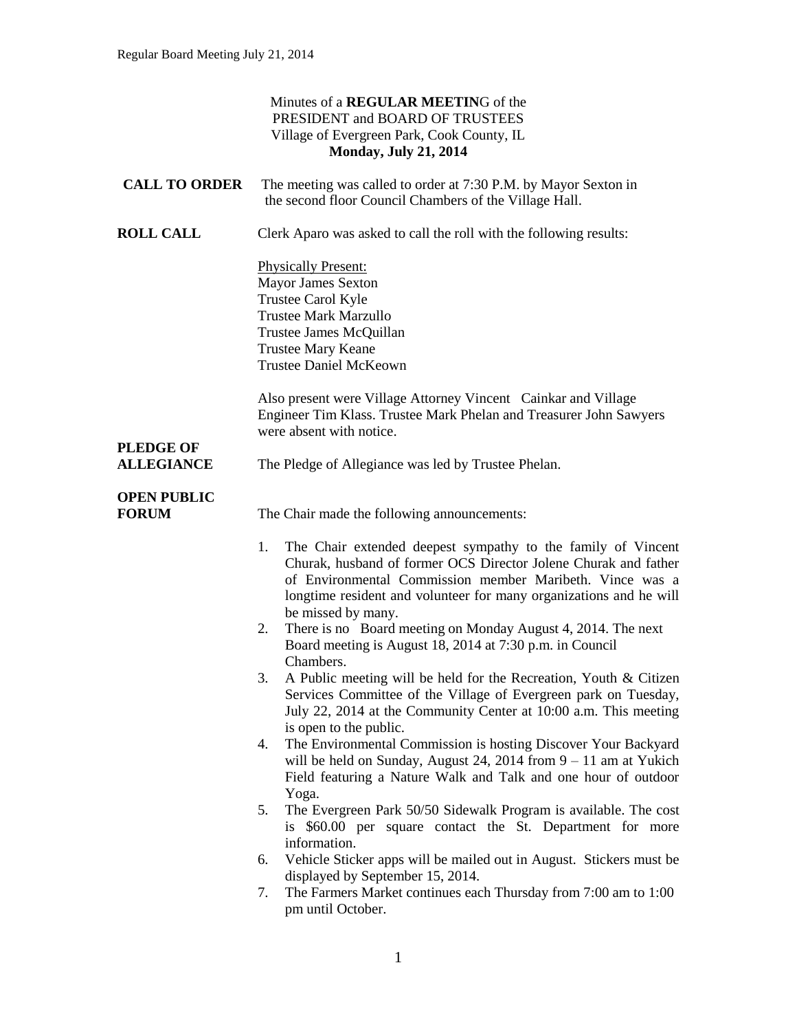|                                       | Minutes of a REGULAR MEETING of the<br>PRESIDENT and BOARD OF TRUSTEES<br>Village of Evergreen Park, Cook County, IL<br><b>Monday, July 21, 2014</b>                                                                                                                                                                                                                                                                            |
|---------------------------------------|---------------------------------------------------------------------------------------------------------------------------------------------------------------------------------------------------------------------------------------------------------------------------------------------------------------------------------------------------------------------------------------------------------------------------------|
| <b>CALL TO ORDER</b>                  | The meeting was called to order at 7:30 P.M. by Mayor Sexton in<br>the second floor Council Chambers of the Village Hall.                                                                                                                                                                                                                                                                                                       |
| <b>ROLL CALL</b>                      | Clerk Aparo was asked to call the roll with the following results:                                                                                                                                                                                                                                                                                                                                                              |
|                                       | <b>Physically Present:</b><br><b>Mayor James Sexton</b><br>Trustee Carol Kyle<br><b>Trustee Mark Marzullo</b><br>Trustee James McQuillan<br><b>Trustee Mary Keane</b><br><b>Trustee Daniel McKeown</b>                                                                                                                                                                                                                          |
|                                       | Also present were Village Attorney Vincent Cainkar and Village<br>Engineer Tim Klass. Trustee Mark Phelan and Treasurer John Sawyers<br>were absent with notice.                                                                                                                                                                                                                                                                |
| <b>PLEDGE OF</b><br><b>ALLEGIANCE</b> | The Pledge of Allegiance was led by Trustee Phelan.                                                                                                                                                                                                                                                                                                                                                                             |
| <b>OPEN PUBLIC</b><br><b>FORUM</b>    | The Chair made the following announcements:                                                                                                                                                                                                                                                                                                                                                                                     |
|                                       | The Chair extended deepest sympathy to the family of Vincent<br>1.<br>Churak, husband of former OCS Director Jolene Churak and father<br>of Environmental Commission member Maribeth. Vince was a<br>longtime resident and volunteer for many organizations and he will<br>be missed by many.<br>There is no Board meeting on Monday August 4, 2014. The next<br>2.<br>Board meeting is August 18, 2014 at 7:30 p.m. in Council |
|                                       | Chambers.<br>A Public meeting will be held for the Recreation, Youth & Citizen<br>Services Committee of the Village of Evergreen park on Tuesday,<br>July 22, 2014 at the Community Center at 10:00 a.m. This meeting<br>is open to the public.                                                                                                                                                                                 |
|                                       | The Environmental Commission is hosting Discover Your Backyard<br>4.<br>will be held on Sunday, August 24, 2014 from $9 - 11$ am at Yukich<br>Field featuring a Nature Walk and Talk and one hour of outdoor<br>Yoga.                                                                                                                                                                                                           |
|                                       | The Evergreen Park 50/50 Sidewalk Program is available. The cost<br>5.<br>is \$60.00 per square contact the St. Department for more                                                                                                                                                                                                                                                                                             |
|                                       | information.<br>Vehicle Sticker apps will be mailed out in August. Stickers must be<br>6.                                                                                                                                                                                                                                                                                                                                       |
|                                       | displayed by September 15, 2014.<br>The Farmers Market continues each Thursday from 7:00 am to 1:00<br>7.<br>pm until October.                                                                                                                                                                                                                                                                                                  |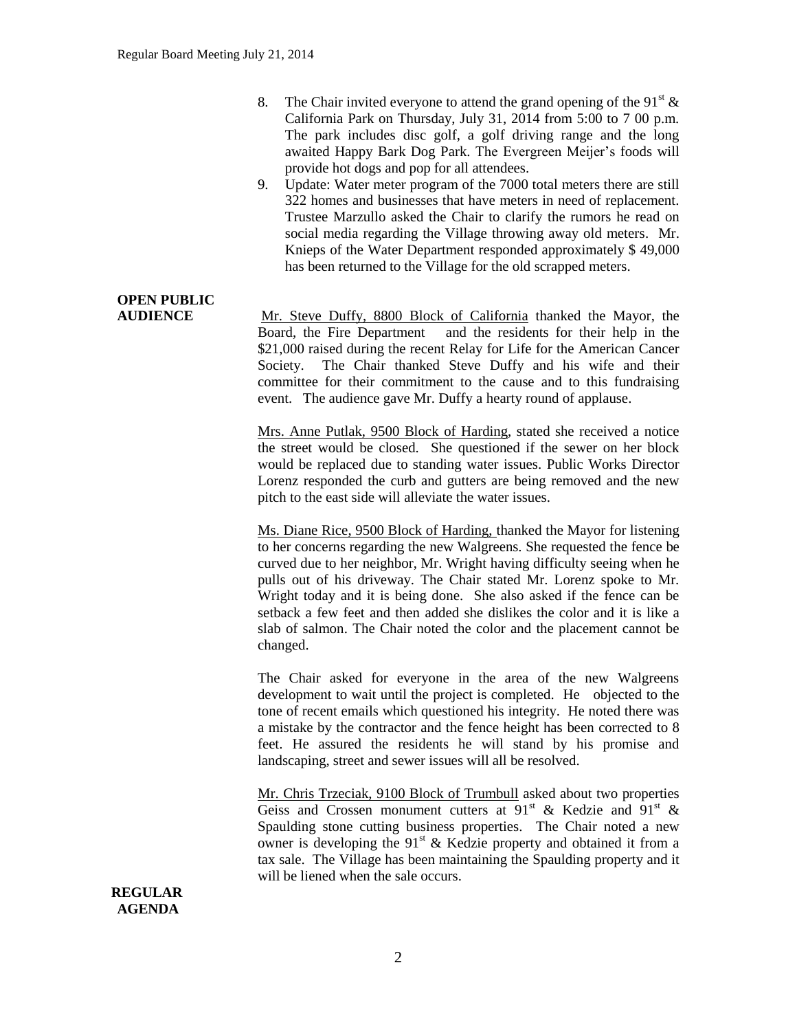- 8. The Chair invited everyone to attend the grand opening of the 91<sup>st</sup>  $\&$ California Park on Thursday, July 31, 2014 from 5:00 to 7 00 p.m. The park includes disc golf, a golf driving range and the long awaited Happy Bark Dog Park. The Evergreen Meijer's foods will provide hot dogs and pop for all attendees.
- 9. Update: Water meter program of the 7000 total meters there are still 322 homes and businesses that have meters in need of replacement. Trustee Marzullo asked the Chair to clarify the rumors he read on social media regarding the Village throwing away old meters. Mr. Knieps of the Water Department responded approximately \$ 49,000 has been returned to the Village for the old scrapped meters.

# **OPEN PUBLIC**

**AUDIENCE** Mr. Steve Duffy, 8800 Block of California thanked the Mayor, the Board, the Fire Department and the residents for their help in the \$21,000 raised during the recent Relay for Life for the American Cancer Society. The Chair thanked Steve Duffy and his wife and their committee for their commitment to the cause and to this fundraising event. The audience gave Mr. Duffy a hearty round of applause.

> Mrs. Anne Putlak, 9500 Block of Harding, stated she received a notice the street would be closed. She questioned if the sewer on her block would be replaced due to standing water issues. Public Works Director Lorenz responded the curb and gutters are being removed and the new pitch to the east side will alleviate the water issues.

> Ms. Diane Rice, 9500 Block of Harding, thanked the Mayor for listening to her concerns regarding the new Walgreens. She requested the fence be curved due to her neighbor, Mr. Wright having difficulty seeing when he pulls out of his driveway. The Chair stated Mr. Lorenz spoke to Mr. Wright today and it is being done. She also asked if the fence can be setback a few feet and then added she dislikes the color and it is like a slab of salmon. The Chair noted the color and the placement cannot be changed.

> The Chair asked for everyone in the area of the new Walgreens development to wait until the project is completed. He objected to the tone of recent emails which questioned his integrity. He noted there was a mistake by the contractor and the fence height has been corrected to 8 feet. He assured the residents he will stand by his promise and landscaping, street and sewer issues will all be resolved.

> Mr. Chris Trzeciak, 9100 Block of Trumbull asked about two properties Geiss and Crossen monument cutters at  $91^{st}$  & Kedzie and  $91^{st}$  & Spaulding stone cutting business properties. The Chair noted a new owner is developing the  $91<sup>st</sup>$  & Kedzie property and obtained it from a tax sale. The Village has been maintaining the Spaulding property and it will be liened when the sale occurs.

**REGULAR AGENDA**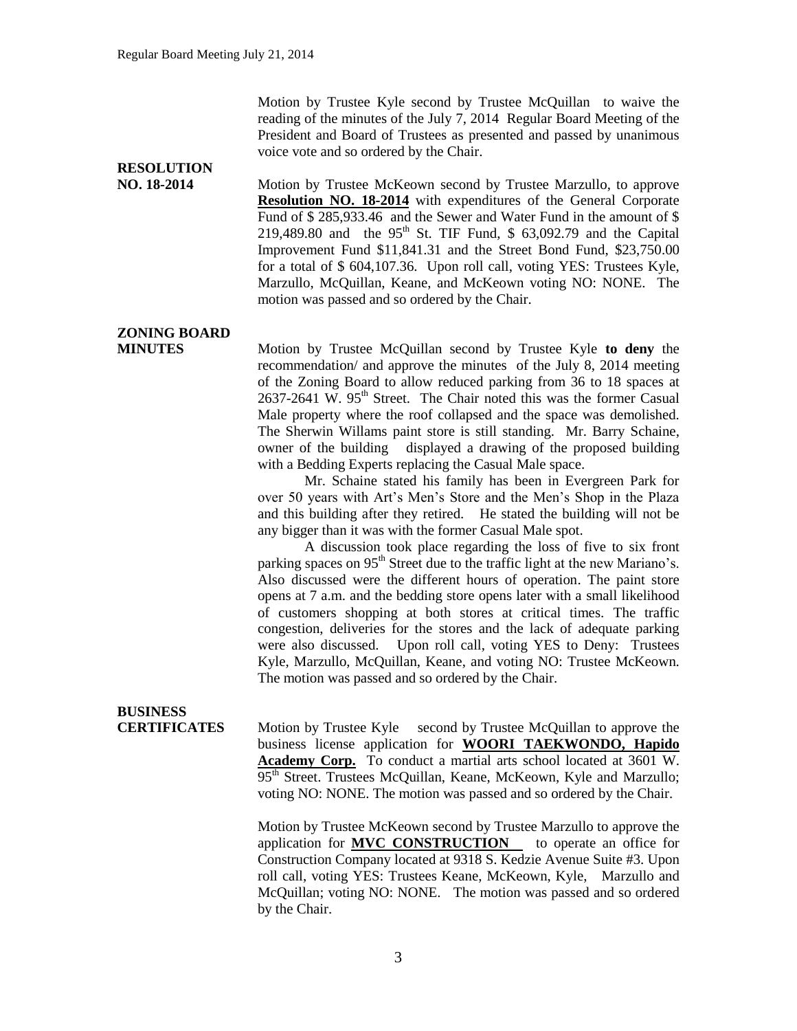Motion by Trustee Kyle second by Trustee McQuillan to waive the reading of the minutes of the July 7, 2014 Regular Board Meeting of the President and Board of Trustees as presented and passed by unanimous voice vote and so ordered by the Chair.

## **RESOLUTION**

**NO. 18-2014** Motion by Trustee McKeown second by Trustee Marzullo, to approve **Resolution NO. 18-2014** with expenditures of the General Corporate Fund of \$ 285,933.46 and the Sewer and Water Fund in the amount of \$ 219,489.80 and the 95<sup>th</sup> St. TIF Fund, \$ 63,092.79 and the Capital Improvement Fund \$11,841.31 and the Street Bond Fund, \$23,750.00 for a total of \$ 604,107.36. Upon roll call, voting YES: Trustees Kyle, Marzullo, McQuillan, Keane, and McKeown voting NO: NONE. The motion was passed and so ordered by the Chair.

### **ZONING BOARD**

**MINUTES** Motion by Trustee McQuillan second by Trustee Kyle **to deny** the recommendation/ and approve the minutes of the July 8, 2014 meeting of the Zoning Board to allow reduced parking from 36 to 18 spaces at 2637-2641 W. 95<sup>th</sup> Street. The Chair noted this was the former Casual Male property where the roof collapsed and the space was demolished. The Sherwin Willams paint store is still standing. Mr. Barry Schaine, owner of the building displayed a drawing of the proposed building with a Bedding Experts replacing the Casual Male space.

> Mr. Schaine stated his family has been in Evergreen Park for over 50 years with Art's Men's Store and the Men's Shop in the Plaza and this building after they retired. He stated the building will not be any bigger than it was with the former Casual Male spot.

> A discussion took place regarding the loss of five to six front parking spaces on 95<sup>th</sup> Street due to the traffic light at the new Mariano's. Also discussed were the different hours of operation. The paint store opens at 7 a.m. and the bedding store opens later with a small likelihood of customers shopping at both stores at critical times. The traffic congestion, deliveries for the stores and the lack of adequate parking were also discussed. Upon roll call, voting YES to Deny: Trustees Kyle, Marzullo, McQuillan, Keane, and voting NO: Trustee McKeown. The motion was passed and so ordered by the Chair.

## **BUSINESS**

**CERTIFICATES** Motion by Trustee Kyle second by Trustee McQuillan to approve the business license application for **WOORI TAEKWONDO, Hapido Academy Corp.** To conduct a martial arts school located at 3601 W. 95<sup>th</sup> Street. Trustees McQuillan, Keane, McKeown, Kyle and Marzullo; voting NO: NONE. The motion was passed and so ordered by the Chair.

> Motion by Trustee McKeown second by Trustee Marzullo to approve the application for **MVC CONSTRUCTION** to operate an office for Construction Company located at 9318 S. Kedzie Avenue Suite #3. Upon roll call, voting YES: Trustees Keane, McKeown, Kyle, Marzullo and McQuillan; voting NO: NONE. The motion was passed and so ordered by the Chair.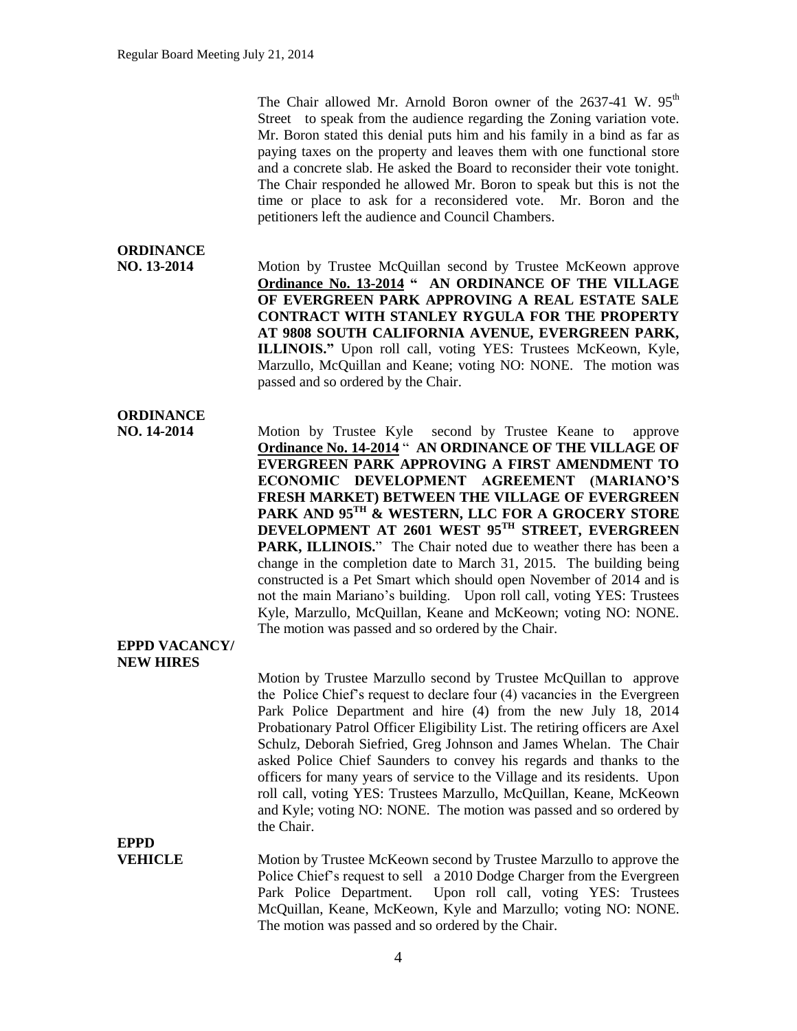The Chair allowed Mr. Arnold Boron owner of the  $2637-41$  W.  $95<sup>th</sup>$ Street to speak from the audience regarding the Zoning variation vote. Mr. Boron stated this denial puts him and his family in a bind as far as paying taxes on the property and leaves them with one functional store and a concrete slab. He asked the Board to reconsider their vote tonight. The Chair responded he allowed Mr. Boron to speak but this is not the time or place to ask for a reconsidered vote. Mr. Boron and the petitioners left the audience and Council Chambers.

### **ORDINANCE**

**NO. 13-2014** Motion by Trustee McQuillan second by Trustee McKeown approve **Ordinance No. 13-2014 " AN ORDINANCE OF THE VILLAGE OF EVERGREEN PARK APPROVING A REAL ESTATE SALE CONTRACT WITH STANLEY RYGULA FOR THE PROPERTY AT 9808 SOUTH CALIFORNIA AVENUE, EVERGREEN PARK, ILLINOIS."** Upon roll call, voting YES: Trustees McKeown, Kyle, Marzullo, McQuillan and Keane; voting NO: NONE. The motion was passed and so ordered by the Chair.

### **ORDINANCE**

**NO. 14-2014** Motion by Trustee Kyle second by Trustee Keane to approve **Ordinance No. 14-2014** " **AN ORDINANCE OF THE VILLAGE OF EVERGREEN PARK APPROVING A FIRST AMENDMENT TO ECONOMIC DEVELOPMENT AGREEMENT (MARIANO'S FRESH MARKET) BETWEEN THE VILLAGE OF EVERGREEN PARK AND 95TH & WESTERN, LLC FOR A GROCERY STORE DEVELOPMENT AT 2601 WEST 95TH STREET, EVERGREEN PARK, ILLINOIS.**" The Chair noted due to weather there has been a change in the completion date to March 31, 2015. The building being constructed is a Pet Smart which should open November of 2014 and is not the main Mariano's building. Upon roll call, voting YES: Trustees Kyle, Marzullo, McQuillan, Keane and McKeown; voting NO: NONE. The motion was passed and so ordered by the Chair.

#### **EPPD VACANCY/ NEW HIRES**

Motion by Trustee Marzullo second by Trustee McQuillan to approve the Police Chief's request to declare four (4) vacancies in the Evergreen Park Police Department and hire (4) from the new July 18, 2014 Probationary Patrol Officer Eligibility List. The retiring officers are Axel Schulz, Deborah Siefried, Greg Johnson and James Whelan. The Chair asked Police Chief Saunders to convey his regards and thanks to the officers for many years of service to the Village and its residents. Upon roll call, voting YES: Trustees Marzullo, McQuillan, Keane, McKeown and Kyle; voting NO: NONE. The motion was passed and so ordered by the Chair.

**EPPD**

**VEHICLE** Motion by Trustee McKeown second by Trustee Marzullo to approve the Police Chief's request to sell a 2010 Dodge Charger from the Evergreen Park Police Department. Upon roll call, voting YES: Trustees McQuillan, Keane, McKeown, Kyle and Marzullo; voting NO: NONE. The motion was passed and so ordered by the Chair.